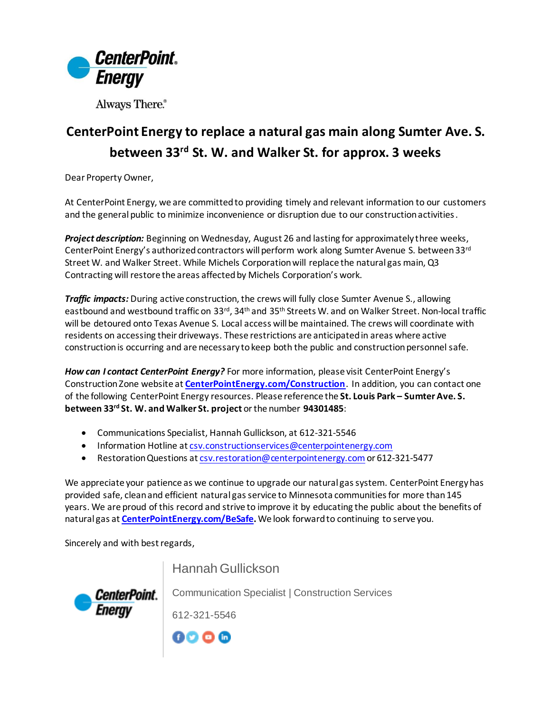

Always There.®

## **CenterPoint Energy to replace a natural gas main along Sumter Ave. S. between 33rd St. W. and Walker St. for approx. 3 weeks**

Dear Property Owner,

At CenterPoint Energy, we are committed to providing timely and relevant information to our customers and the general public to minimize inconvenience or disruption due to our construction activities.

*Project description:* Beginning on Wednesday, August 26 and lasting for approximately three weeks, CenterPoint Energy's authorized contractors will perform work along Sumter Avenue S. between 33rd Street W. and Walker Street. While Michels Corporation will replace the natural gas main, Q3 Contracting will restore the areas affected by Michels Corporation's work.

*Traffic impacts:* During active construction, the crews will fully close Sumter Avenue S., allowing eastbound and westbound traffic on 33<sup>rd</sup>, 34<sup>th</sup> and 35<sup>th</sup> Streets W. and on Walker Street. Non-local traffic will be detoured onto Texas Avenue S. Local access will be maintained. The crews will coordinate with residents on accessing their driveways. These restrictions are anticipated in areas where active construction is occurring and are necessary to keep both the public and construction personnel safe.

*How can I contact CenterPoint Energy?* For more information, please visit CenterPoint Energy's Construction Zone website at **[CenterPointEnergy.com/Construction](http://www.centerpointenergy.com/Construction)**. In addition, you can contact one of the following CenterPoint Energy resources. Please reference the **St. Louis Park – Sumter Ave. S. between 33rd St. W. and Walker St. project** or the number **94301485**:

- Communications Specialist, Hannah Gullickson, at 612-321-5546
- Information Hotline a[t csv.constructionservices@centerpointenergy.com](mailto:csv.constructionservices@centerpointenergy.com)
- Restoration Questions a[t csv.restoration@centerpointenergy.com](mailto:csv.restoration@centerpointenergy.com) or 612-321-5477

We appreciate your patience as we continue to upgrade our natural gas system. CenterPoint Energy has provided safe, clean and efficient natural gas service to Minnesota communities for more than 145 years. We are proud of this record and strive to improve it by educating the public about the benefits of natural gas at **[CenterPointEnergy.com/BeSafe.](http://www.centerpointenergy.com/BeSafe)** We look forward to continuing to serve you.

Sincerely and with best regards,